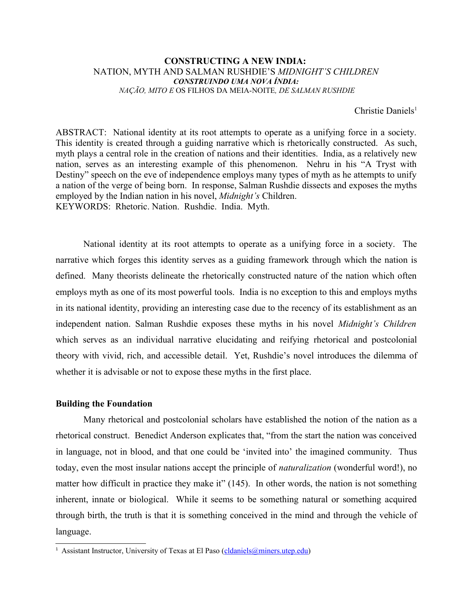### **CONSTRUCTING A NEW INDIA:**  NATION, MYTH AND SALMAN RUSHDIE'S *MIDNIGHT'S CHILDREN CONSTRUINDO UMA NOVA ÍNDIA: NAÇÃO, MITO E* OS FILHOS DA MEIA-NOITE*, DE SALMAN RUSHDIE*

Christie Daniels<sup>[1](#page-0-0)</sup>

ABSTRACT: National identity at its root attempts to operate as a unifying force in a society. This identity is created through a guiding narrative which is rhetorically constructed. As such, myth plays a central role in the creation of nations and their identities. India, as a relatively new nation, serves as an interesting example of this phenomenon. Nehru in his "A Tryst with Destiny" speech on the eve of independence employs many types of myth as he attempts to unify a nation of the verge of being born. In response, Salman Rushdie dissects and exposes the myths employed by the Indian nation in his novel, *Midnight's* Children. KEYWORDS: Rhetoric. Nation. Rushdie. India. Myth.

National identity at its root attempts to operate as a unifying force in a society. The narrative which forges this identity serves as a guiding framework through which the nation is defined. Many theorists delineate the rhetorically constructed nature of the nation which often employs myth as one of its most powerful tools. India is no exception to this and employs myths in its national identity, providing an interesting case due to the recency of its establishment as an independent nation. Salman Rushdie exposes these myths in his novel *Midnight's Children* which serves as an individual narrative elucidating and reifying rhetorical and postcolonial theory with vivid, rich, and accessible detail. Yet, Rushdie's novel introduces the dilemma of whether it is advisable or not to expose these myths in the first place.

#### **Building the Foundation**

Many rhetorical and postcolonial scholars have established the notion of the nation as a rhetorical construct. Benedict Anderson explicates that, "from the start the nation was conceived in language, not in blood, and that one could be 'invited into' the imagined community. Thus today, even the most insular nations accept the principle of *naturalization* (wonderful word!), no matter how difficult in practice they make it" (145). In other words, the nation is not something inherent, innate or biological. While it seems to be something natural or something acquired through birth, the truth is that it is something conceived in the mind and through the vehicle of language.

<span id="page-0-0"></span><sup>&</sup>lt;sup>1</sup> Assistant Instructor, University of Texas at El Paso [\(cldaniels@miners.utep.edu\)](mailto:cldaniels@miners.utep.edu)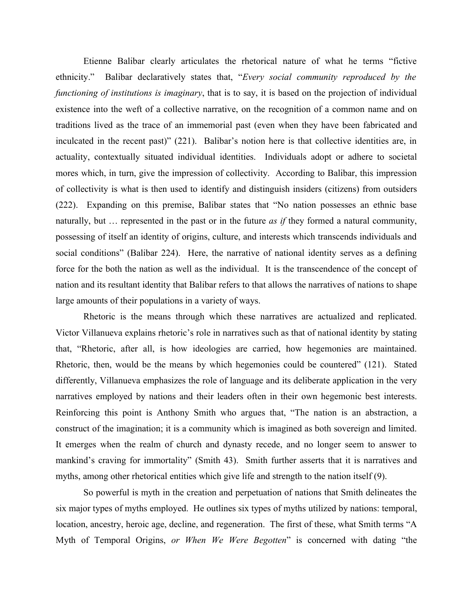Etienne Balibar clearly articulates the rhetorical nature of what he terms "fictive ethnicity." Balibar declaratively states that, "*Every social community reproduced by the functioning of institutions is imaginary*, that is to say, it is based on the projection of individual existence into the weft of a collective narrative, on the recognition of a common name and on traditions lived as the trace of an immemorial past (even when they have been fabricated and inculcated in the recent past)" (221). Balibar's notion here is that collective identities are, in actuality, contextually situated individual identities. Individuals adopt or adhere to societal mores which, in turn, give the impression of collectivity. According to Balibar, this impression of collectivity is what is then used to identify and distinguish insiders (citizens) from outsiders (222). Expanding on this premise, Balibar states that "No nation possesses an ethnic base naturally, but … represented in the past or in the future *as if* they formed a natural community, possessing of itself an identity of origins, culture, and interests which transcends individuals and social conditions" (Balibar 224). Here, the narrative of national identity serves as a defining force for the both the nation as well as the individual. It is the transcendence of the concept of nation and its resultant identity that Balibar refers to that allows the narratives of nations to shape large amounts of their populations in a variety of ways.

Rhetoric is the means through which these narratives are actualized and replicated. Victor Villanueva explains rhetoric's role in narratives such as that of national identity by stating that, "Rhetoric, after all, is how ideologies are carried, how hegemonies are maintained. Rhetoric, then, would be the means by which hegemonies could be countered" (121). Stated differently, Villanueva emphasizes the role of language and its deliberate application in the very narratives employed by nations and their leaders often in their own hegemonic best interests. Reinforcing this point is Anthony Smith who argues that, "The nation is an abstraction, a construct of the imagination; it is a community which is imagined as both sovereign and limited. It emerges when the realm of church and dynasty recede, and no longer seem to answer to mankind's craving for immortality" (Smith 43). Smith further asserts that it is narratives and myths, among other rhetorical entities which give life and strength to the nation itself (9).

So powerful is myth in the creation and perpetuation of nations that Smith delineates the six major types of myths employed. He outlines six types of myths utilized by nations: temporal, location, ancestry, heroic age, decline, and regeneration. The first of these, what Smith terms "A Myth of Temporal Origins, *or When We Were Begotten*" is concerned with dating "the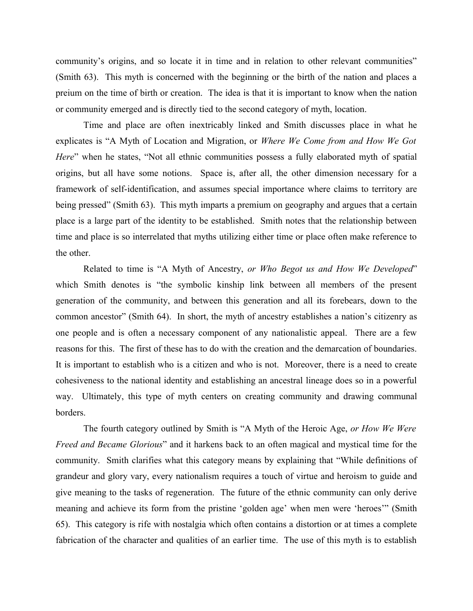community's origins, and so locate it in time and in relation to other relevant communities" (Smith 63). This myth is concerned with the beginning or the birth of the nation and places a preium on the time of birth or creation. The idea is that it is important to know when the nation or community emerged and is directly tied to the second category of myth, location.

Time and place are often inextricably linked and Smith discusses place in what he explicates is "A Myth of Location and Migration, or *Where We Come from and How We Got Here*" when he states, "Not all ethnic communities possess a fully elaborated myth of spatial origins, but all have some notions. Space is, after all, the other dimension necessary for a framework of self-identification, and assumes special importance where claims to territory are being pressed" (Smith 63). This myth imparts a premium on geography and argues that a certain place is a large part of the identity to be established. Smith notes that the relationship between time and place is so interrelated that myths utilizing either time or place often make reference to the other.

Related to time is "A Myth of Ancestry, *or Who Begot us and How We Developed*" which Smith denotes is "the symbolic kinship link between all members of the present generation of the community, and between this generation and all its forebears, down to the common ancestor" (Smith 64). In short, the myth of ancestry establishes a nation's citizenry as one people and is often a necessary component of any nationalistic appeal. There are a few reasons for this. The first of these has to do with the creation and the demarcation of boundaries. It is important to establish who is a citizen and who is not. Moreover, there is a need to create cohesiveness to the national identity and establishing an ancestral lineage does so in a powerful way. Ultimately, this type of myth centers on creating community and drawing communal borders.

The fourth category outlined by Smith is "A Myth of the Heroic Age, *or How We Were Freed and Became Glorious*" and it harkens back to an often magical and mystical time for the community. Smith clarifies what this category means by explaining that "While definitions of grandeur and glory vary, every nationalism requires a touch of virtue and heroism to guide and give meaning to the tasks of regeneration. The future of the ethnic community can only derive meaning and achieve its form from the pristine 'golden age' when men were 'heroes'" (Smith 65). This category is rife with nostalgia which often contains a distortion or at times a complete fabrication of the character and qualities of an earlier time. The use of this myth is to establish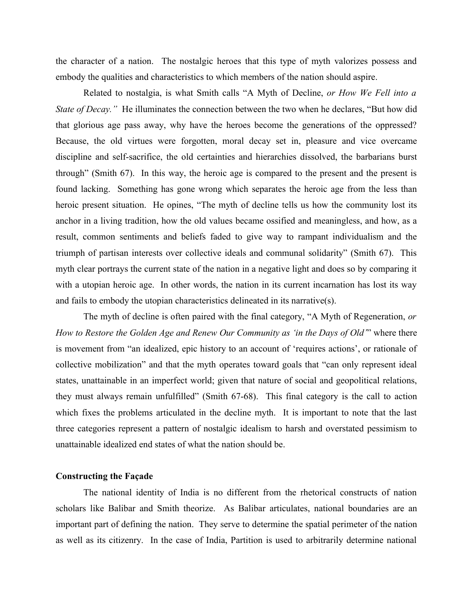the character of a nation. The nostalgic heroes that this type of myth valorizes possess and embody the qualities and characteristics to which members of the nation should aspire.

Related to nostalgia, is what Smith calls "A Myth of Decline, *or How We Fell into a State of Decay."* He illuminates the connection between the two when he declares, "But how did that glorious age pass away, why have the heroes become the generations of the oppressed? Because, the old virtues were forgotten, moral decay set in, pleasure and vice overcame discipline and self-sacrifice, the old certainties and hierarchies dissolved, the barbarians burst through" (Smith 67). In this way, the heroic age is compared to the present and the present is found lacking. Something has gone wrong which separates the heroic age from the less than heroic present situation. He opines, "The myth of decline tells us how the community lost its anchor in a living tradition, how the old values became ossified and meaningless, and how, as a result, common sentiments and beliefs faded to give way to rampant individualism and the triumph of partisan interests over collective ideals and communal solidarity" (Smith 67). This myth clear portrays the current state of the nation in a negative light and does so by comparing it with a utopian heroic age. In other words, the nation in its current incarnation has lost its way and fails to embody the utopian characteristics delineated in its narrative(s).

The myth of decline is often paired with the final category, "A Myth of Regeneration, *or How to Restore the Golden Age and Renew Our Community as 'in the Days of Old'*" where there is movement from "an idealized, epic history to an account of 'requires actions', or rationale of collective mobilization" and that the myth operates toward goals that "can only represent ideal states, unattainable in an imperfect world; given that nature of social and geopolitical relations, they must always remain unfulfilled" (Smith 67-68). This final category is the call to action which fixes the problems articulated in the decline myth. It is important to note that the last three categories represent a pattern of nostalgic idealism to harsh and overstated pessimism to unattainable idealized end states of what the nation should be.

### **Constructing the Façade**

The national identity of India is no different from the rhetorical constructs of nation scholars like Balibar and Smith theorize. As Balibar articulates, national boundaries are an important part of defining the nation. They serve to determine the spatial perimeter of the nation as well as its citizenry. In the case of India, Partition is used to arbitrarily determine national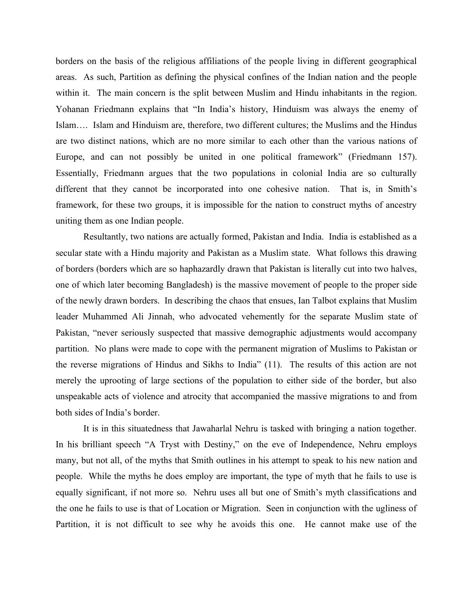borders on the basis of the religious affiliations of the people living in different geographical areas. As such, Partition as defining the physical confines of the Indian nation and the people within it. The main concern is the split between Muslim and Hindu inhabitants in the region. Yohanan Friedmann explains that "In India's history, Hinduism was always the enemy of Islam…. Islam and Hinduism are, therefore, two different cultures; the Muslims and the Hindus are two distinct nations, which are no more similar to each other than the various nations of Europe, and can not possibly be united in one political framework" (Friedmann 157). Essentially, Friedmann argues that the two populations in colonial India are so culturally different that they cannot be incorporated into one cohesive nation. That is, in Smith's framework, for these two groups, it is impossible for the nation to construct myths of ancestry uniting them as one Indian people.

Resultantly, two nations are actually formed, Pakistan and India. India is established as a secular state with a Hindu majority and Pakistan as a Muslim state. What follows this drawing of borders (borders which are so haphazardly drawn that Pakistan is literally cut into two halves, one of which later becoming Bangladesh) is the massive movement of people to the proper side of the newly drawn borders. In describing the chaos that ensues, Ian Talbot explains that Muslim leader Muhammed Ali Jinnah, who advocated vehemently for the separate Muslim state of Pakistan, "never seriously suspected that massive demographic adjustments would accompany partition. No plans were made to cope with the permanent migration of Muslims to Pakistan or the reverse migrations of Hindus and Sikhs to India" (11). The results of this action are not merely the uprooting of large sections of the population to either side of the border, but also unspeakable acts of violence and atrocity that accompanied the massive migrations to and from both sides of India's border.

It is in this situatedness that Jawaharlal Nehru is tasked with bringing a nation together. In his brilliant speech "A Tryst with Destiny," on the eve of Independence, Nehru employs many, but not all, of the myths that Smith outlines in his attempt to speak to his new nation and people. While the myths he does employ are important, the type of myth that he fails to use is equally significant, if not more so. Nehru uses all but one of Smith's myth classifications and the one he fails to use is that of Location or Migration. Seen in conjunction with the ugliness of Partition, it is not difficult to see why he avoids this one. He cannot make use of the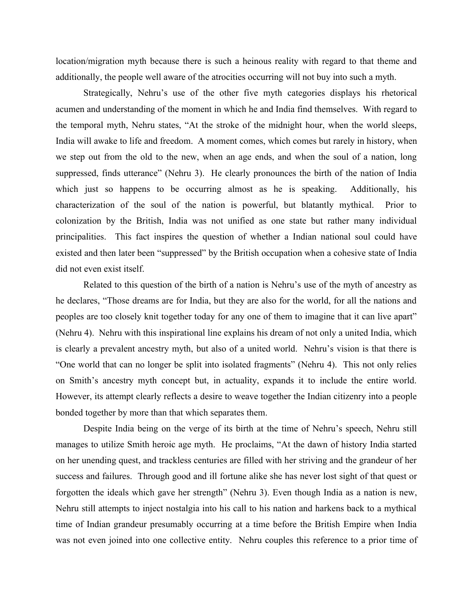location/migration myth because there is such a heinous reality with regard to that theme and additionally, the people well aware of the atrocities occurring will not buy into such a myth.

Strategically, Nehru's use of the other five myth categories displays his rhetorical acumen and understanding of the moment in which he and India find themselves. With regard to the temporal myth, Nehru states, "At the stroke of the midnight hour, when the world sleeps, India will awake to life and freedom. A moment comes, which comes but rarely in history, when we step out from the old to the new, when an age ends, and when the soul of a nation, long suppressed, finds utterance" (Nehru 3). He clearly pronounces the birth of the nation of India which just so happens to be occurring almost as he is speaking. Additionally, his characterization of the soul of the nation is powerful, but blatantly mythical. Prior to colonization by the British, India was not unified as one state but rather many individual principalities. This fact inspires the question of whether a Indian national soul could have existed and then later been "suppressed" by the British occupation when a cohesive state of India did not even exist itself.

Related to this question of the birth of a nation is Nehru's use of the myth of ancestry as he declares, "Those dreams are for India, but they are also for the world, for all the nations and peoples are too closely knit together today for any one of them to imagine that it can live apart" (Nehru 4). Nehru with this inspirational line explains his dream of not only a united India, which is clearly a prevalent ancestry myth, but also of a united world. Nehru's vision is that there is "One world that can no longer be split into isolated fragments" (Nehru 4). This not only relies on Smith's ancestry myth concept but, in actuality, expands it to include the entire world. However, its attempt clearly reflects a desire to weave together the Indian citizenry into a people bonded together by more than that which separates them.

Despite India being on the verge of its birth at the time of Nehru's speech, Nehru still manages to utilize Smith heroic age myth. He proclaims, "At the dawn of history India started on her unending quest, and trackless centuries are filled with her striving and the grandeur of her success and failures. Through good and ill fortune alike she has never lost sight of that quest or forgotten the ideals which gave her strength" (Nehru 3). Even though India as a nation is new, Nehru still attempts to inject nostalgia into his call to his nation and harkens back to a mythical time of Indian grandeur presumably occurring at a time before the British Empire when India was not even joined into one collective entity. Nehru couples this reference to a prior time of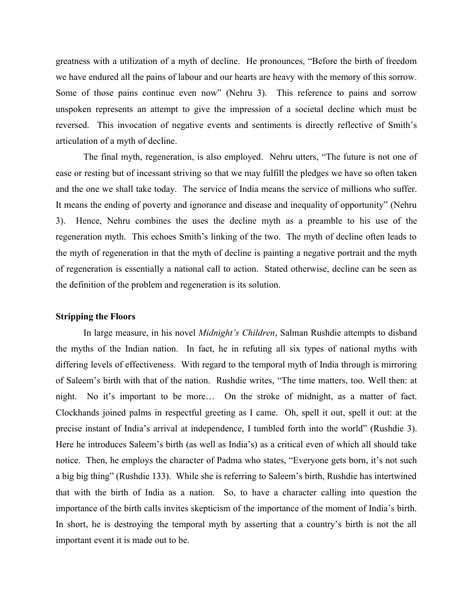greatness with a utilization of a myth of decline. He pronounces, "Before the birth of freedom we have endured all the pains of labour and our hearts are heavy with the memory of this sorrow. Some of those pains continue even now" (Nehru 3). This reference to pains and sorrow unspoken represents an attempt to give the impression of a societal decline which must be reversed. This invocation of negative events and sentiments is directly reflective of Smith's articulation of a myth of decline.

The final myth, regeneration, is also employed. Nehru utters, "The future is not one of ease or resting but of incessant striving so that we may fulfill the pledges we have so often taken and the one we shall take today. The service of India means the service of millions who suffer. It means the ending of poverty and ignorance and disease and inequality of opportunity" (Nehru 3). Hence, Nehru combines the uses the decline myth as a preamble to his use of the regeneration myth. This echoes Smith's linking of the two. The myth of decline often leads to the myth of regeneration in that the myth of decline is painting a negative portrait and the myth of regeneration is essentially a national call to action. Stated otherwise, decline can be seen as the definition of the problem and regeneration is its solution.

#### **Stripping the Floors**

In large measure, in his novel *Midnight's Children*, Salman Rushdie attempts to disband the myths of the Indian nation. In fact, he in refuting all six types of national myths with differing levels of effectiveness. With regard to the temporal myth of India through is mirroring of Saleem's birth with that of the nation. Rushdie writes, "The time matters, too. Well then: at night. No it's important to be more… On the stroke of midnight, as a matter of fact. Clockhands joined palms in respectful greeting as I came. Oh, spell it out, spell it out: at the precise instant of India's arrival at independence, I tumbled forth into the world" (Rushdie 3). Here he introduces Saleem's birth (as well as India's) as a critical even of which all should take notice. Then, he employs the character of Padma who states, "Everyone gets born, it's not such a big big thing" (Rushdie 133). While she is referring to Saleem's birth, Rushdie has intertwined that with the birth of India as a nation. So, to have a character calling into question the importance of the birth calls invites skepticism of the importance of the moment of India's birth. In short, he is destroying the temporal myth by asserting that a country's birth is not the all important event it is made out to be.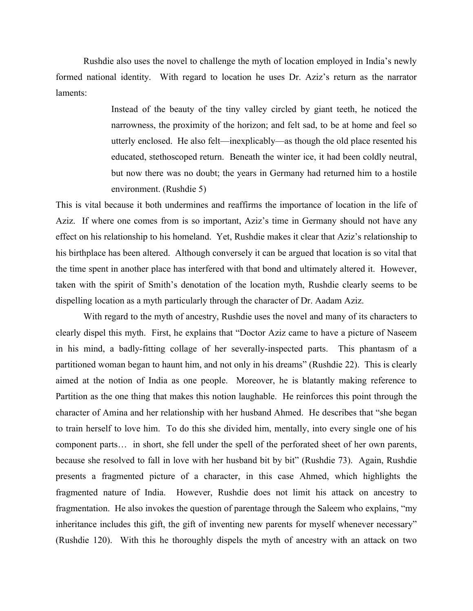Rushdie also uses the novel to challenge the myth of location employed in India's newly formed national identity. With regard to location he uses Dr. Aziz's return as the narrator laments:

> Instead of the beauty of the tiny valley circled by giant teeth, he noticed the narrowness, the proximity of the horizon; and felt sad, to be at home and feel so utterly enclosed. He also felt—inexplicably—as though the old place resented his educated, stethoscoped return. Beneath the winter ice, it had been coldly neutral, but now there was no doubt; the years in Germany had returned him to a hostile environment. (Rushdie 5)

This is vital because it both undermines and reaffirms the importance of location in the life of Aziz. If where one comes from is so important, Aziz's time in Germany should not have any effect on his relationship to his homeland. Yet, Rushdie makes it clear that Aziz's relationship to his birthplace has been altered. Although conversely it can be argued that location is so vital that the time spent in another place has interfered with that bond and ultimately altered it. However, taken with the spirit of Smith's denotation of the location myth, Rushdie clearly seems to be dispelling location as a myth particularly through the character of Dr. Aadam Aziz.

With regard to the myth of ancestry, Rushdie uses the novel and many of its characters to clearly dispel this myth. First, he explains that "Doctor Aziz came to have a picture of Naseem in his mind, a badly-fitting collage of her severally-inspected parts. This phantasm of a partitioned woman began to haunt him, and not only in his dreams" (Rushdie 22). This is clearly aimed at the notion of India as one people. Moreover, he is blatantly making reference to Partition as the one thing that makes this notion laughable. He reinforces this point through the character of Amina and her relationship with her husband Ahmed. He describes that "she began to train herself to love him. To do this she divided him, mentally, into every single one of his component parts… in short, she fell under the spell of the perforated sheet of her own parents, because she resolved to fall in love with her husband bit by bit" (Rushdie 73). Again, Rushdie presents a fragmented picture of a character, in this case Ahmed, which highlights the fragmented nature of India. However, Rushdie does not limit his attack on ancestry to fragmentation. He also invokes the question of parentage through the Saleem who explains, "my inheritance includes this gift, the gift of inventing new parents for myself whenever necessary" (Rushdie 120). With this he thoroughly dispels the myth of ancestry with an attack on two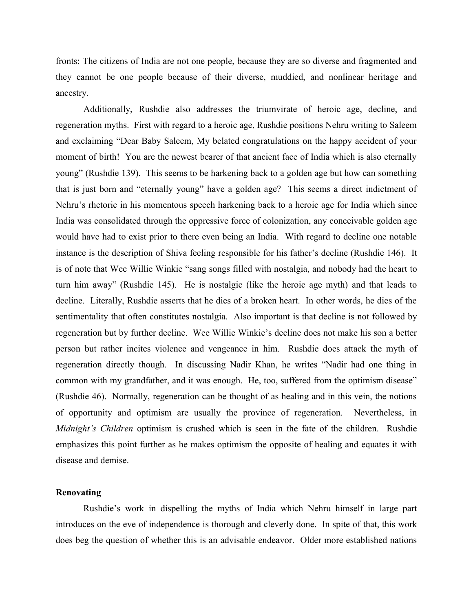fronts: The citizens of India are not one people, because they are so diverse and fragmented and they cannot be one people because of their diverse, muddied, and nonlinear heritage and ancestry.

Additionally, Rushdie also addresses the triumvirate of heroic age, decline, and regeneration myths. First with regard to a heroic age, Rushdie positions Nehru writing to Saleem and exclaiming "Dear Baby Saleem, My belated congratulations on the happy accident of your moment of birth! You are the newest bearer of that ancient face of India which is also eternally young" (Rushdie 139). This seems to be harkening back to a golden age but how can something that is just born and "eternally young" have a golden age? This seems a direct indictment of Nehru's rhetoric in his momentous speech harkening back to a heroic age for India which since India was consolidated through the oppressive force of colonization, any conceivable golden age would have had to exist prior to there even being an India. With regard to decline one notable instance is the description of Shiva feeling responsible for his father's decline (Rushdie 146). It is of note that Wee Willie Winkie "sang songs filled with nostalgia, and nobody had the heart to turn him away" (Rushdie 145). He is nostalgic (like the heroic age myth) and that leads to decline. Literally, Rushdie asserts that he dies of a broken heart. In other words, he dies of the sentimentality that often constitutes nostalgia. Also important is that decline is not followed by regeneration but by further decline. Wee Willie Winkie's decline does not make his son a better person but rather incites violence and vengeance in him. Rushdie does attack the myth of regeneration directly though. In discussing Nadir Khan, he writes "Nadir had one thing in common with my grandfather, and it was enough. He, too, suffered from the optimism disease" (Rushdie 46). Normally, regeneration can be thought of as healing and in this vein, the notions of opportunity and optimism are usually the province of regeneration. Nevertheless, in *Midnight's Children* optimism is crushed which is seen in the fate of the children. Rushdie emphasizes this point further as he makes optimism the opposite of healing and equates it with disease and demise.

## **Renovating**

Rushdie's work in dispelling the myths of India which Nehru himself in large part introduces on the eve of independence is thorough and cleverly done. In spite of that, this work does beg the question of whether this is an advisable endeavor. Older more established nations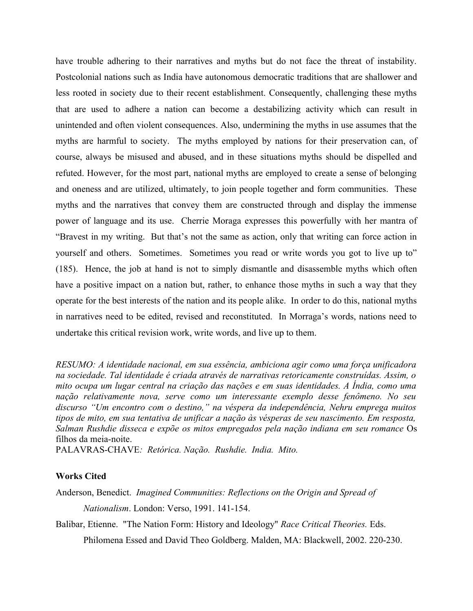have trouble adhering to their narratives and myths but do not face the threat of instability. Postcolonial nations such as India have autonomous democratic traditions that are shallower and less rooted in society due to their recent establishment. Consequently, challenging these myths that are used to adhere a nation can become a destabilizing activity which can result in unintended and often violent consequences. Also, undermining the myths in use assumes that the myths are harmful to society. The myths employed by nations for their preservation can, of course, always be misused and abused, and in these situations myths should be dispelled and refuted. However, for the most part, national myths are employed to create a sense of belonging and oneness and are utilized, ultimately, to join people together and form communities. These myths and the narratives that convey them are constructed through and display the immense power of language and its use. Cherrie Moraga expresses this powerfully with her mantra of "Bravest in my writing. But that's not the same as action, only that writing can force action in yourself and others. Sometimes. Sometimes you read or write words you got to live up to" (185). Hence, the job at hand is not to simply dismantle and disassemble myths which often have a positive impact on a nation but, rather, to enhance those myths in such a way that they operate for the best interests of the nation and its people alike. In order to do this, national myths in narratives need to be edited, revised and reconstituted. In Morraga's words, nations need to undertake this critical revision work, write words, and live up to them.

*RESUMO: A identidade nacional, em sua essência, ambiciona agir como uma força unificadora na sociedade. Tal identidade é criada através de narrativas retoricamente construídas. Assim, o mito ocupa um lugar central na criação das nações e em suas identidades. A Índia, como uma nação relativamente nova, serve como um interessante exemplo desse fenômeno. No seu discurso "Um encontro com o destino," na véspera da independência, Nehru emprega muitos tipos de mito, em sua tentativa de unificar a nação às vésperas de seu nascimento. Em resposta, Salman Rushdie disseca e expõe os mitos empregados pela nação indiana em seu romance* Os filhos da meia-noite.

PALAVRAS-CHAVE*: Retórica. Nação. Rushdie. India. Mito.*

# **Works Cited**

Anderson, Benedict. *Imagined Communities: Reflections on the Origin and Spread of*

*Nationalism*. London: Verso, 1991. 141-154.

Balibar, Etienne. "The Nation Form: History and Ideology" *Race Critical Theories.* Eds.

Philomena Essed and David Theo Goldberg. Malden, MA: Blackwell, 2002. 220-230.